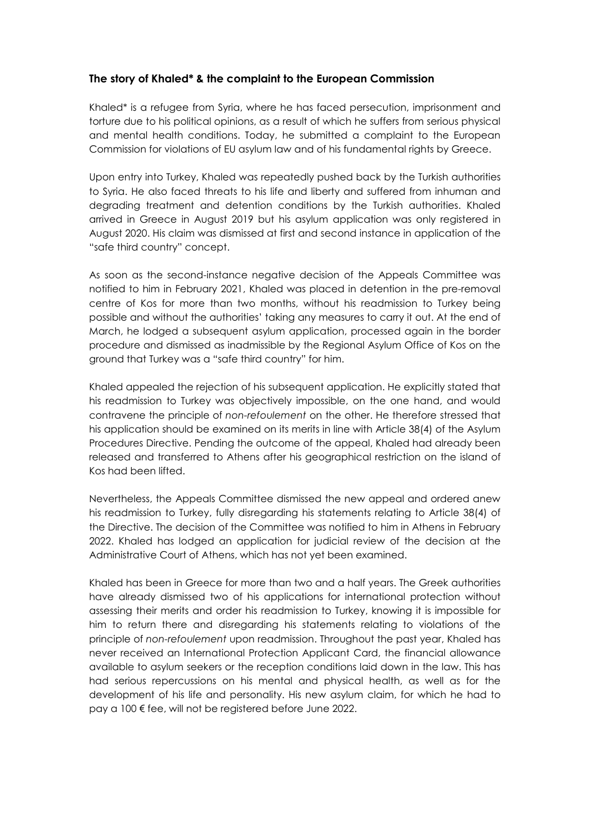## **The story of Khaled\* & the complaint to the European Commission**

Khaled\* is a refugee from Syria, where he has faced persecution, imprisonment and torture due to his political opinions, as a result of which he suffers from serious physical and mental health conditions. Today, he submitted a complaint to the European Commission for violations of EU asylum law and of his fundamental rights by Greece.

Upon entry into Turkey, Khaled was repeatedly pushed back by the Turkish authorities to Syria. He also faced threats to his life and liberty and suffered from inhuman and degrading treatment and detention conditions by the Turkish authorities. Khaled arrived in Greece in August 2019 but his asylum application was only registered in August 2020. His claim was dismissed at first and second instance in application of the "safe third country" concept.

As soon as the second-instance negative decision of the Appeals Committee was notified to him in February 2021, Khaled was placed in detention in the pre-removal centre of Kos for more than two months, without his readmission to Turkey being possible and without the authorities' taking any measures to carry it out. At the end of March, he lodged a subsequent asylum application, processed again in the border procedure and dismissed as inadmissible by the Regional Asylum Office of Kos on the ground that Turkey was a "safe third country" for him.

Khaled appealed the rejection of his subsequent application. He explicitly stated that his readmission to Turkey was objectively impossible, on the one hand, and would contravene the principle of *non-refoulement* on the other. He therefore stressed that his application should be examined on its merits in line with Article 38(4) of the Asylum Procedures Directive. Pending the outcome of the appeal, Khaled had already been released and transferred to Athens after his geographical restriction on the island of Kos had been lifted.

Nevertheless, the Appeals Committee dismissed the new appeal and ordered anew his readmission to Turkey, fully disregarding his statements relating to Article 38(4) of the Directive. The decision of the Committee was notified to him in Athens in February 2022. Khaled has lodged an application for judicial review of the decision at the Administrative Court of Athens, which has not yet been examined.

Khaled has been in Greece for more than two and a half years. The Greek authorities have already dismissed two of his applications for international protection without assessing their merits and order his readmission to Turkey, knowing it is impossible for him to return there and disregarding his statements relating to violations of the principle of *non-refoulement* upon readmission. Throughout the past year, Khaled has never received an International Protection Applicant Card, the financial allowance available to asylum seekers or the reception conditions laid down in the law. This has had serious repercussions on his mental and physical health, as well as for the development of his life and personality. His new asylum claim, for which he had to pay a 100 € fee, will not be registered before June 2022.